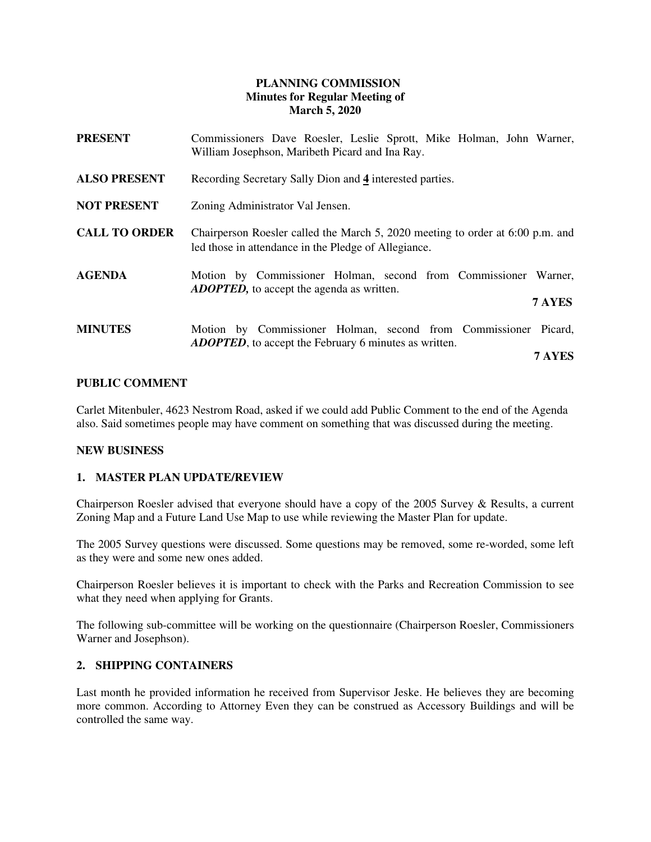# **PLANNING COMMISSION Minutes for Regular Meeting of March 5, 2020**

| <b>PRESENT</b>       | Commissioners Dave Roesler, Leslie Sprott, Mike Holman, John Warner,<br>William Josephson, Maribeth Picard and Ina Ray.                |
|----------------------|----------------------------------------------------------------------------------------------------------------------------------------|
| <b>ALSO PRESENT</b>  | Recording Secretary Sally Dion and 4 interested parties.                                                                               |
| <b>NOT PRESENT</b>   | Zoning Administrator Val Jensen.                                                                                                       |
| <b>CALL TO ORDER</b> | Chairperson Roesler called the March 5, 2020 meeting to order at 6:00 p.m. and<br>led those in attendance in the Pledge of Allegiance. |
| <b>AGENDA</b>        | Motion by Commissioner Holman, second from Commissioner Warner,<br><b>ADOPTED</b> , to accept the agenda as written.<br>7 AYES         |
|                      |                                                                                                                                        |
| <b>MINUTES</b>       | Motion by Commissioner Holman, second from Commissioner Picard,<br><b>ADOPTED</b> , to accept the February 6 minutes as written.       |
|                      | 7 AYES                                                                                                                                 |

# **PUBLIC COMMENT**

Carlet Mitenbuler, 4623 Nestrom Road, asked if we could add Public Comment to the end of the Agenda also. Said sometimes people may have comment on something that was discussed during the meeting.

### **NEW BUSINESS**

### **1. MASTER PLAN UPDATE/REVIEW**

Chairperson Roesler advised that everyone should have a copy of the 2005 Survey & Results, a current Zoning Map and a Future Land Use Map to use while reviewing the Master Plan for update.

The 2005 Survey questions were discussed. Some questions may be removed, some re-worded, some left as they were and some new ones added.

Chairperson Roesler believes it is important to check with the Parks and Recreation Commission to see what they need when applying for Grants.

The following sub-committee will be working on the questionnaire (Chairperson Roesler, Commissioners Warner and Josephson).

#### **2. SHIPPING CONTAINERS**

Last month he provided information he received from Supervisor Jeske. He believes they are becoming more common. According to Attorney Even they can be construed as Accessory Buildings and will be controlled the same way.